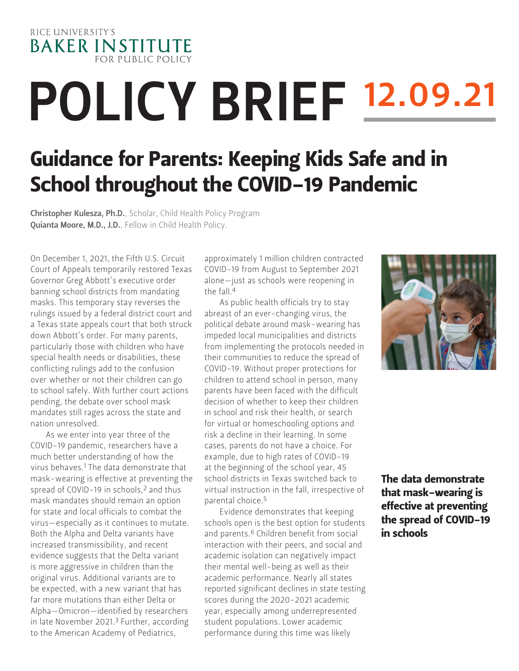RICE UNIVERSITY'S **BAKER INSTITUTE FOR PUBLIC POLICY** 

# **POLICY BRIEF 12.09.21**

## Guidance for Parents: Keeping Kids Safe and in School throughout the COVID-19 Pandemic

Christopher Kulesza, Ph.D., [Scholar, Child Health Policy Program](https://www.bakerinstitute.org/experts/christopher/) Quianta Moore, M.D., J.D.[, Fellow in Child Health Policy.](https://www.bakerinstitute.org/experts/quianta-moore/)

On December 1, 2021, the Fifth U.S. Circuit Court of Appeals temporarily restored Texas Governor Greg Abbott's executive order banning school districts from mandating masks. This temporary stay reverses the rulings issued by a federal district court and a Texas state appeals court that both struck down Abbott's order. For many parents, particularly those with children who have special health needs or disabilities, these conflicting rulings add to the confusion over whether or not their children can go to school safely. With further court actions pending, the debate over school mask mandates still rages across the state and nation unresolved.

As we enter into year three of the COVID-19 pandemic, researchers have a much better understanding of how the virus behaves.1 The data demonstrate that mask-wearing is effective at preventing the spread of COVID-19 in schools,<sup>2</sup> and thus mask mandates should remain an option for state and local officials to combat the virus—especially as it continues to mutate. Both the Alpha and Delta variants have increased transmissibility, and recent evidence suggests that the Delta variant is more aggressive in children than the original virus. Additional variants are to be expected, with a new variant that has far more mutations than either Delta or Alpha—Omicron—identified by researchers in late November 2021.<sup>3</sup> Further, according to the American Academy of Pediatrics,

approximately 1 million children contracted COVID-19 from August to September 2021 alone—just as schools were reopening in the fall  $4$ 

As public health officials try to stay abreast of an ever-changing virus, the political debate around mask-wearing has impeded local municipalities and districts from implementing the protocols needed in their communities to reduce the spread of COVID-19. Without proper protections for children to attend school in person, many parents have been faced with the difficult decision of whether to keep their children in school and risk their health, or search for virtual or homeschooling options and risk a decline in their learning. In some cases, parents do not have a choice. For example, due to high rates of COVID-19 at the beginning of the school year, 45 school districts in Texas switched back to virtual instruction in the fall, irrespective of parental choice.5

Evidence demonstrates that keeping schools open is the best option for students and parents.<sup>6</sup> Children benefit from social interaction with their peers, and social and academic isolation can negatively impact their mental well-being as well as their academic performance. Nearly all states reported significant declines in state testing scores during the 2020-2021 academic year, especially among underrepresented student populations. Lower academic performance during this time was likely



The data demonstrate that mask-wearing is effective at preventing the spread of COVID-19 in schools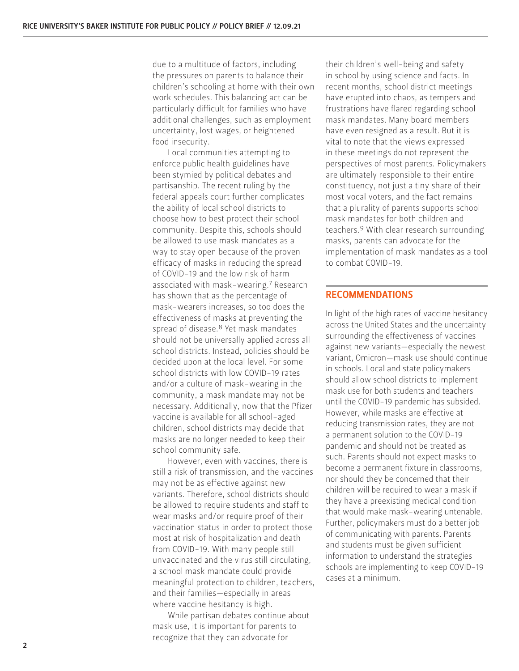due to a multitude of factors, including the pressures on parents to balance their children's schooling at home with their own work schedules. This balancing act can be particularly difficult for families who have additional challenges, such as employment uncertainty, lost wages, or heightened food insecurity.

Local communities attempting to enforce public health guidelines have been stymied by political debates and partisanship. The recent ruling by the federal appeals court further complicates the ability of local school districts to choose how to best protect their school community. Despite this, schools should be allowed to use mask mandates as a way to stay open because of the proven efficacy of masks in reducing the spread of COVID-19 and the low risk of harm associated with mask-wearing.7 Research has shown that as the percentage of mask-wearers increases, so too does the effectiveness of masks at preventing the spread of disease.8 Yet mask mandates should not be universally applied across all school districts. Instead, policies should be decided upon at the local level. For some school districts with low COVID-19 rates and/or a culture of mask-wearing in the community, a mask mandate may not be necessary. Additionally, now that the Pfizer vaccine is available for all school-aged children, school districts may decide that masks are no longer needed to keep their school community safe.

However, even with vaccines, there is still a risk of transmission, and the vaccines may not be as effective against new variants. Therefore, school districts should be allowed to require students and staff to wear masks and/or require proof of their vaccination status in order to protect those most at risk of hospitalization and death from COVID-19. With many people still unvaccinated and the virus still circulating, a school mask mandate could provide meaningful protection to children, teachers, and their families—especially in areas where vaccine hesitancy is high.

While partisan debates continue about mask use, it is important for parents to recognize that they can advocate for

their children's well-being and safety in school by using science and facts. In recent months, school district meetings have erupted into chaos, as tempers and frustrations have flared regarding school mask mandates. Many board members have even resigned as a result. But it is vital to note that the views expressed in these meetings do not represent the perspectives of most parents. Policymakers are ultimately responsible to their entire constituency, not just a tiny share of their most vocal voters, and the fact remains that a plurality of parents supports school mask mandates for both children and teachers.9 With clear research surrounding masks, parents can advocate for the implementation of mask mandates as a tool to combat COVID-19.

#### RECOMMENDATIONS

In light of the high rates of vaccine hesitancy across the United States and the uncertainty surrounding the effectiveness of vaccines against new variants—especially the newest variant, Omicron—mask use should continue in schools. Local and state policymakers should allow school districts to implement mask use for both students and teachers until the COVID-19 pandemic has subsided. However, while masks are effective at reducing transmission rates, they are not a permanent solution to the COVID-19 pandemic and should not be treated as such. Parents should not expect masks to become a permanent fixture in classrooms, nor should they be concerned that their children will be required to wear a mask if they have a preexisting medical condition that would make mask-wearing untenable. Further, policymakers must do a better job of communicating with parents. Parents and students must be given sufficient information to understand the strategies schools are implementing to keep COVID-19 cases at a minimum.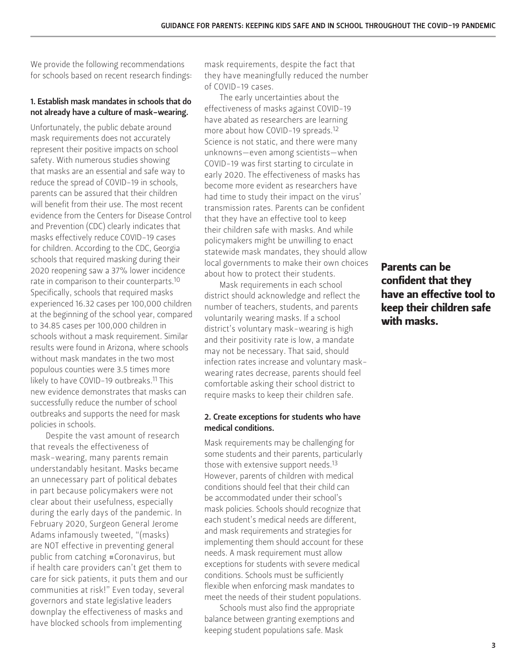We provide the following recommendations for schools based on recent research findings:

#### 1. Establish mask mandates in schools that do not already have a culture of mask-wearing.

Unfortunately, the public debate around mask requirements does not accurately represent their positive impacts on school safety. With numerous studies showing that masks are an essential and safe way to reduce the spread of COVID-19 in schools, parents can be assured that their children will benefit from their use. The most recent evidence from the Centers for Disease Control and Prevention (CDC) clearly indicates that masks effectively reduce COVID-19 cases for children. According to the CDC, Georgia schools that required masking during their 2020 reopening saw a 37% lower incidence rate in comparison to their counterparts.<sup>10</sup> Specifically, schools that required masks experienced 16.32 cases per 100,000 children at the beginning of the school year, compared to 34.85 cases per 100,000 children in schools without a mask requirement. Similar results were found in Arizona, where schools without mask mandates in the two most populous counties were 3.5 times more likely to have COVID-19 outbreaks.<sup>11</sup> This new evidence demonstrates that masks can successfully reduce the number of school outbreaks and supports the need for mask policies in schools.

Despite the vast amount of research that reveals the effectiveness of mask-wearing, many parents remain understandably hesitant. Masks became an unnecessary part of political debates in part because policymakers were not clear about their usefulness, especially during the early days of the pandemic. In February 2020, Surgeon General Jerome Adams infamously tweeted, "(masks) are NOT effective in preventing general public from catching #Coronavirus, but if health care providers can't get them to care for sick patients, it puts them and our communities at risk!" Even today, several governors and state legislative leaders downplay the effectiveness of masks and have blocked schools from implementing

mask requirements, despite the fact that they have meaningfully reduced the number of COVID-19 cases.

The early uncertainties about the effectiveness of masks against COVID-19 have abated as researchers are learning more about how COVID-19 spreads.12 Science is not static, and there were many unknowns—even among scientists—when COVID-19 was first starting to circulate in early 2020. The effectiveness of masks has become more evident as researchers have had time to study their impact on the virus' transmission rates. Parents can be confident that they have an effective tool to keep their children safe with masks. And while policymakers might be unwilling to enact statewide mask mandates, they should allow local governments to make their own choices about how to protect their students.

Mask requirements in each school district should acknowledge and reflect the number of teachers, students, and parents voluntarily wearing masks. If a school district's voluntary mask-wearing is high and their positivity rate is low, a mandate may not be necessary. That said, should infection rates increase and voluntary maskwearing rates decrease, parents should feel comfortable asking their school district to require masks to keep their children safe.

#### 2. Create exceptions for students who have medical conditions.

Mask requirements may be challenging for some students and their parents, particularly those with extensive support needs.<sup>13</sup> However, parents of children with medical conditions should feel that their child can be accommodated under their school's mask policies. Schools should recognize that each student's medical needs are different, and mask requirements and strategies for implementing them should account for these needs. A mask requirement must allow exceptions for students with severe medical conditions. Schools must be sufficiently flexible when enforcing mask mandates to meet the needs of their student populations.

Schools must also find the appropriate balance between granting exemptions and keeping student populations safe. Mask

Parents can be confident that they have an effective tool to keep their children safe with masks.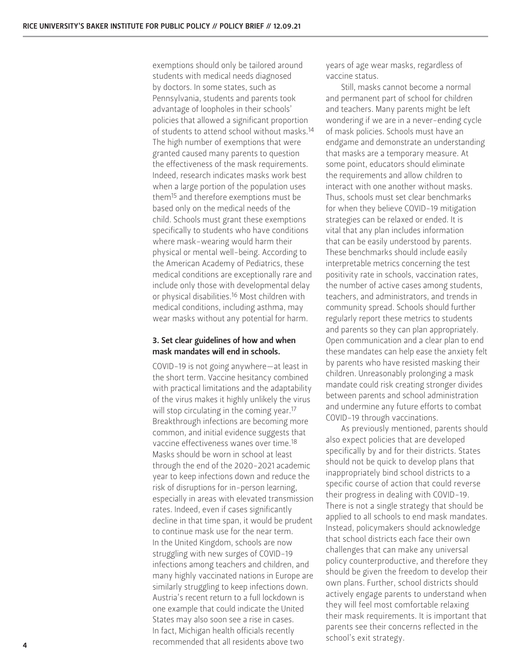exemptions should only be tailored around students with medical needs diagnosed by doctors. In some states, such as Pennsylvania, students and parents took advantage of loopholes in their schools' policies that allowed a significant proportion of students to attend school without masks.14 The high number of exemptions that were granted caused many parents to question the effectiveness of the mask requirements. Indeed, research indicates masks work best when a large portion of the population uses them15 and therefore exemptions must be based only on the medical needs of the child. Schools must grant these exemptions specifically to students who have conditions where mask-wearing would harm their physical or mental well-being. According to the American Academy of Pediatrics, these medical conditions are exceptionally rare and include only those with developmental delay or physical disabilities.16 Most children with medical conditions, including asthma, may wear masks without any potential for harm.

#### 3. Set clear guidelines of how and when mask mandates will end in schools.

COVID-19 is not going anywhere—at least in the short term. Vaccine hesitancy combined with practical limitations and the adaptability of the virus makes it highly unlikely the virus will stop circulating in the coming year.<sup>17</sup> Breakthrough infections are becoming more common, and initial evidence suggests that vaccine effectiveness wanes over time.18 Masks should be worn in school at least through the end of the 2020-2021 academic year to keep infections down and reduce the risk of disruptions for in-person learning, especially in areas with elevated transmission rates. Indeed, even if cases significantly decline in that time span, it would be prudent to continue mask use for the near term. In the United Kingdom, schools are now struggling with new surges of COVID-19 infections among teachers and children, and many highly vaccinated nations in Europe are similarly struggling to keep infections down. Austria's recent return to a full lockdown is one example that could indicate the United States may also soon see a rise in cases. In fact, Michigan health officials recently recommended that all residents above two

years of age wear masks, regardless of vaccine status.

Still, masks cannot become a normal and permanent part of school for children and teachers. Many parents might be left wondering if we are in a never-ending cycle of mask policies. Schools must have an endgame and demonstrate an understanding that masks are a temporary measure. At some point, educators should eliminate the requirements and allow children to interact with one another without masks. Thus, schools must set clear benchmarks for when they believe COVID-19 mitigation strategies can be relaxed or ended. It is vital that any plan includes information that can be easily understood by parents. These benchmarks should include easily interpretable metrics concerning the test positivity rate in schools, vaccination rates, the number of active cases among students, teachers, and administrators, and trends in community spread. Schools should further regularly report these metrics to students and parents so they can plan appropriately. Open communication and a clear plan to end these mandates can help ease the anxiety felt by parents who have resisted masking their children. Unreasonably prolonging a mask mandate could risk creating stronger divides between parents and school administration and undermine any future efforts to combat COVID-19 through vaccinations.

As previously mentioned, parents should also expect policies that are developed specifically by and for their districts. States should not be quick to develop plans that inappropriately bind school districts to a specific course of action that could reverse their progress in dealing with COVID-19. There is not a single strategy that should be applied to all schools to end mask mandates. Instead, policymakers should acknowledge that school districts each face their own challenges that can make any universal policy counterproductive, and therefore they should be given the freedom to develop their own plans. Further, school districts should actively engage parents to understand when they will feel most comfortable relaxing their mask requirements. It is important that parents see their concerns reflected in the school's exit strategy.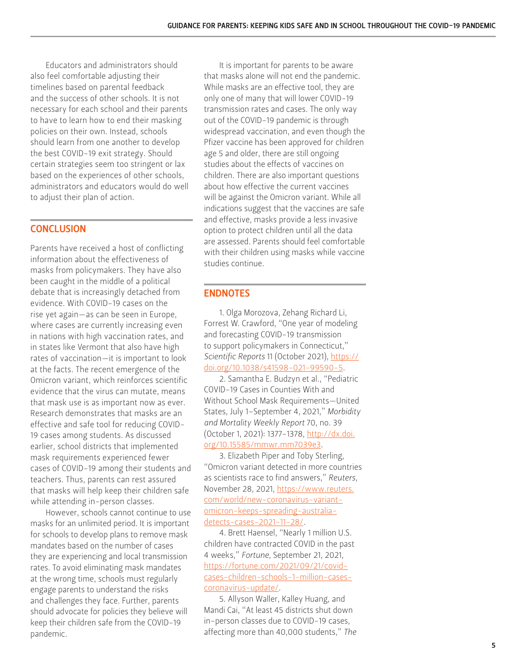Educators and administrators should also feel comfortable adjusting their timelines based on parental feedback and the success of other schools. It is not necessary for each school and their parents to have to learn how to end their masking policies on their own. Instead, schools should learn from one another to develop the best COVID-19 exit strategy. Should certain strategies seem too stringent or lax based on the experiences of other schools, administrators and educators would do well to adjust their plan of action.

#### **CONCLUSION**

Parents have received a host of conflicting information about the effectiveness of masks from policymakers. They have also been caught in the middle of a political debate that is increasingly detached from evidence. With COVID-19 cases on the rise yet again—as can be seen in Europe, where cases are currently increasing even in nations with high vaccination rates, and in states like Vermont that also have high rates of vaccination—it is important to look at the facts. The recent emergence of the Omicron variant, which reinforces scientific evidence that the virus can mutate, means that mask use is as important now as ever. Research demonstrates that masks are an effective and safe tool for reducing COVID-19 cases among students. As discussed earlier, school districts that implemented mask requirements experienced fewer cases of COVID-19 among their students and teachers. Thus, parents can rest assured that masks will help keep their children safe while attending in-person classes.

However, schools cannot continue to use masks for an unlimited period. It is important for schools to develop plans to remove mask mandates based on the number of cases they are experiencing and local transmission rates. To avoid eliminating mask mandates at the wrong time, schools must regularly engage parents to understand the risks and challenges they face. Further, parents should advocate for policies they believe will keep their children safe from the COVID-19 pandemic.

It is important for parents to be aware that masks alone will not end the pandemic. While masks are an effective tool, they are only one of many that will lower COVID-19 transmission rates and cases. The only way out of the COVID-19 pandemic is through widespread vaccination, and even though the Pfizer vaccine has been approved for children age 5 and older, there are still ongoing studies about the effects of vaccines on children. There are also important questions about how effective the current vaccines will be against the Omicron variant. While all indications suggest that the vaccines are safe and effective, masks provide a less invasive option to protect children until all the data are assessed. Parents should feel comfortable with their children using masks while vaccine studies continue.

#### ENDNOTES

1. Olga Morozova, Zehang Richard Li, Forrest W. Crawford, "One year of modeling and forecasting COVID-19 transmission to support policymakers in Connecticut," *Scientific Reports* 11 (October 2021), [https://](https://doi.org/10.1038/s41598-021-99590-5) [doi.org/10.1038/s41598-021-99590-5.](https://doi.org/10.1038/s41598-021-99590-5)

2. Samantha E. Budzyn et al., "Pediatric COVID-19 Cases in Counties With and Without School Mask Requirements—United States, July 1–September 4, 2021," *Morbidity and Mortality Weekly Report* 70, no. 39 (October 1, 2021): 1377-1378, [http://dx.doi.](http://dx.doi.org/10.15585/mmwr.mm7039e3) [org/10.15585/mmwr.mm7039e3.](http://dx.doi.org/10.15585/mmwr.mm7039e3)

3. Elizabeth Piper and Toby Sterling, "Omicron variant detected in more countries as scientists race to find answers," *Reuters*, November 28, 2021, [https://www.reuters.](https://www.reuters.com/world/new-coronavirus-variant-omicron-keeps-spreading-australia-detects-case) [com/world/new-coronavirus-variant](https://www.reuters.com/world/new-coronavirus-variant-omicron-keeps-spreading-australia-detects-case)[omicron-keeps-spreading-australia](https://www.reuters.com/world/new-coronavirus-variant-omicron-keeps-spreading-australia-detects-case)[detects-cases-2021-11-28/](https://www.reuters.com/world/new-coronavirus-variant-omicron-keeps-spreading-australia-detects-case).

4. Brett Haensel, "Nearly 1 million U.S. children have contracted COVID in the past 4 weeks," *Fortune*, September 21, 2021, [https://fortune.com/2021/09/21/covid](https://fortune.com/2021/09/21/covid-cases-children-schools-1-million-cases-coronavirus-update/)[cases-children-schools-1-million-cases](https://fortune.com/2021/09/21/covid-cases-children-schools-1-million-cases-coronavirus-update/)[coronavirus-update/.](https://fortune.com/2021/09/21/covid-cases-children-schools-1-million-cases-coronavirus-update/)

5. Allyson Waller, Kalley Huang, and Mandi Cai, "At least 45 districts shut down in-person classes due to COVID-19 cases, affecting more than 40,000 students," *The*